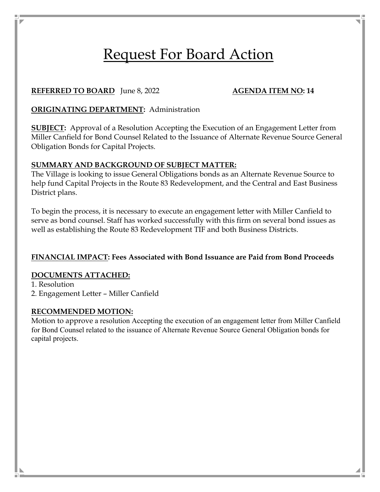# Request For Board Action

### **REFERRED TO BOARD**  $\left| \text{une } 8, 2022 \right|$  **AGENDA ITEM NO: 14**

## **ORIGINATING DEPARTMENT:** Administration

**SUBJECT:** Approval of a Resolution Accepting the Execution of an Engagement Letter from Miller Canfield for Bond Counsel Related to the Issuance of Alternate Revenue Source General Obligation Bonds for Capital Projects.

#### **SUMMARY AND BACKGROUND OF SUBJECT MATTER:**

The Village is looking to issue General Obligations bonds as an Alternate Revenue Source to help fund Capital Projects in the Route 83 Redevelopment, and the Central and East Business District plans.

To begin the process, it is necessary to execute an engagement letter with Miller Canfield to serve as bond counsel. Staff has worked successfully with this firm on several bond issues as well as establishing the Route 83 Redevelopment TIF and both Business Districts.

#### **FINANCIAL IMPACT: Fees Associated with Bond Issuance are Paid from Bond Proceeds**

#### **DOCUMENTS ATTACHED:**

1. Resolution

2. Engagement Letter – Miller Canfield

#### **RECOMMENDED MOTION:**

Motion to approve a resolution Accepting the execution of an engagement letter from Miller Canfield for Bond Counsel related to the issuance of Alternate Revenue Source General Obligation bonds for capital projects.